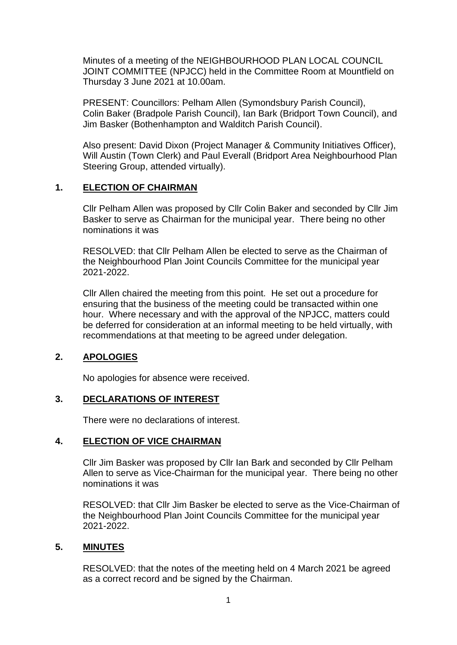Minutes of a meeting of the NEIGHBOURHOOD PLAN LOCAL COUNCIL JOINT COMMITTEE (NPJCC) held in the Committee Room at Mountfield on Thursday 3 June 2021 at 10.00am.

PRESENT: Councillors: Pelham Allen (Symondsbury Parish Council), Colin Baker (Bradpole Parish Council), Ian Bark (Bridport Town Council), and Jim Basker (Bothenhampton and Walditch Parish Council).

Also present: David Dixon (Project Manager & Community Initiatives Officer), Will Austin (Town Clerk) and Paul Everall (Bridport Area Neighbourhood Plan Steering Group, attended virtually).

### **1. ELECTION OF CHAIRMAN**

Cllr Pelham Allen was proposed by Cllr Colin Baker and seconded by Cllr Jim Basker to serve as Chairman for the municipal year. There being no other nominations it was

RESOLVED: that Cllr Pelham Allen be elected to serve as the Chairman of the Neighbourhood Plan Joint Councils Committee for the municipal year 2021-2022.

Cllr Allen chaired the meeting from this point. He set out a procedure for ensuring that the business of the meeting could be transacted within one hour. Where necessary and with the approval of the NPJCC, matters could be deferred for consideration at an informal meeting to be held virtually, with recommendations at that meeting to be agreed under delegation.

# **2. APOLOGIES**

No apologies for absence were received.

# **3. DECLARATIONS OF INTEREST**

There were no declarations of interest.

# **4. ELECTION OF VICE CHAIRMAN**

Cllr Jim Basker was proposed by Cllr Ian Bark and seconded by Cllr Pelham Allen to serve as Vice-Chairman for the municipal year. There being no other nominations it was

RESOLVED: that Cllr Jim Basker be elected to serve as the Vice-Chairman of the Neighbourhood Plan Joint Councils Committee for the municipal year 2021-2022.

### **5. MINUTES**

RESOLVED: that the notes of the meeting held on 4 March 2021 be agreed as a correct record and be signed by the Chairman.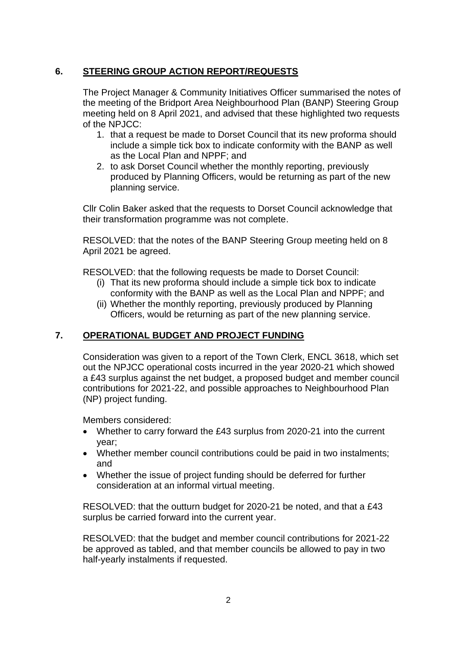# **6. STEERING GROUP ACTION REPORT/REQUESTS**

The Project Manager & Community Initiatives Officer summarised the notes of the meeting of the Bridport Area Neighbourhood Plan (BANP) Steering Group meeting held on 8 April 2021, and advised that these highlighted two requests of the NPJCC:

- 1. that a request be made to Dorset Council that its new proforma should include a simple tick box to indicate conformity with the BANP as well as the Local Plan and NPPF; and
- 2. to ask Dorset Council whether the monthly reporting, previously produced by Planning Officers, would be returning as part of the new planning service.

Cllr Colin Baker asked that the requests to Dorset Council acknowledge that their transformation programme was not complete.

RESOLVED: that the notes of the BANP Steering Group meeting held on 8 April 2021 be agreed.

RESOLVED: that the following requests be made to Dorset Council:

- (i) That its new proforma should include a simple tick box to indicate conformity with the BANP as well as the Local Plan and NPPF; and
- (ii) Whether the monthly reporting, previously produced by Planning Officers, would be returning as part of the new planning service.

# **7. OPERATIONAL BUDGET AND PROJECT FUNDING**

Consideration was given to a report of the Town Clerk, ENCL 3618, which set out the NPJCC operational costs incurred in the year 2020-21 which showed a £43 surplus against the net budget, a proposed budget and member council contributions for 2021-22, and possible approaches to Neighbourhood Plan (NP) project funding.

Members considered:

- Whether to carry forward the £43 surplus from 2020-21 into the current year;
- Whether member council contributions could be paid in two instalments; and
- Whether the issue of project funding should be deferred for further consideration at an informal virtual meeting.

RESOLVED: that the outturn budget for 2020-21 be noted, and that a £43 surplus be carried forward into the current year.

RESOLVED: that the budget and member council contributions for 2021-22 be approved as tabled, and that member councils be allowed to pay in two half-yearly instalments if requested.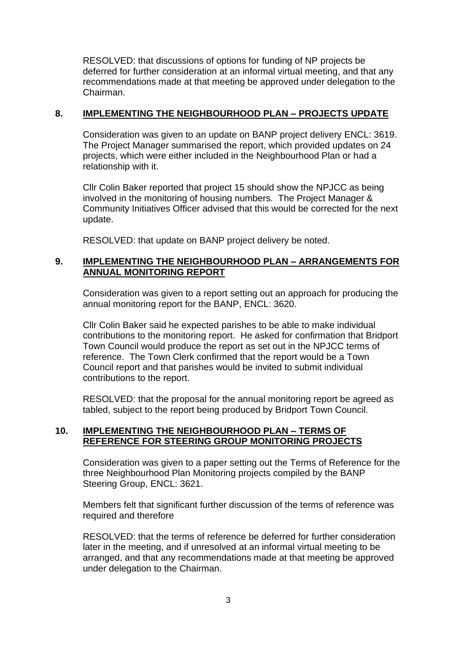RESOLVED: that discussions of options for funding of NP projects be deferred for further consideration at an informal virtual meeting, and that any recommendations made at that meeting be approved under delegation to the Chairman.

### **8. IMPLEMENTING THE NEIGHBOURHOOD PLAN – PROJECTS UPDATE**

Consideration was given to an update on BANP project delivery ENCL: 3619. The Project Manager summarised the report, which provided updates on 24 projects, which were either included in the Neighbourhood Plan or had a relationship with it.

Cllr Colin Baker reported that project 15 should show the NPJCC as being involved in the monitoring of housing numbers. The Project Manager & Community Initiatives Officer advised that this would be corrected for the next update.

RESOLVED: that update on BANP project delivery be noted.

### **9. IMPLEMENTING THE NEIGHBOURHOOD PLAN – ARRANGEMENTS FOR ANNUAL MONITORING REPORT**

Consideration was given to a report setting out an approach for producing the annual monitoring report for the BANP, ENCL: 3620.

Cllr Colin Baker said he expected parishes to be able to make individual contributions to the monitoring report. He asked for confirmation that Bridport Town Council would produce the report as set out in the NPJCC terms of reference. The Town Clerk confirmed that the report would be a Town Council report and that parishes would be invited to submit individual contributions to the report.

RESOLVED: that the proposal for the annual monitoring report be agreed as tabled, subject to the report being produced by Bridport Town Council.

### **10. IMPLEMENTING THE NEIGHBOURHOOD PLAN – TERMS OF REFERENCE FOR STEERING GROUP MONITORING PROJECTS**

Consideration was given to a paper setting out the Terms of Reference for the three Neighbourhood Plan Monitoring projects compiled by the BANP Steering Group, ENCL: 3621.

Members felt that significant further discussion of the terms of reference was required and therefore

RESOLVED: that the terms of reference be deferred for further consideration later in the meeting, and if unresolved at an informal virtual meeting to be arranged, and that any recommendations made at that meeting be approved under delegation to the Chairman.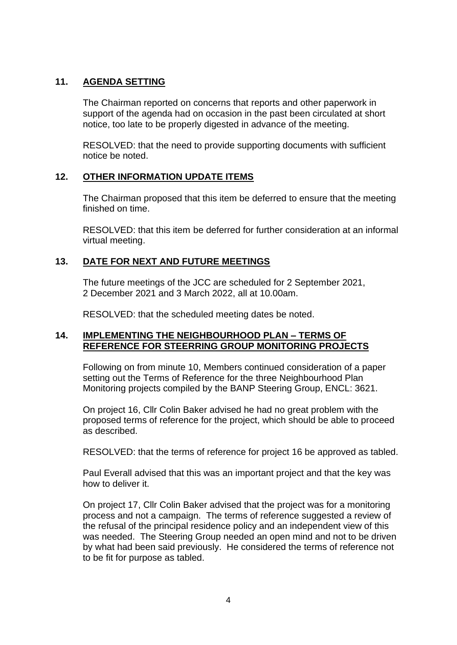### **11. AGENDA SETTING**

The Chairman reported on concerns that reports and other paperwork in support of the agenda had on occasion in the past been circulated at short notice, too late to be properly digested in advance of the meeting.

RESOLVED: that the need to provide supporting documents with sufficient notice be noted.

### **12. OTHER INFORMATION UPDATE ITEMS**

The Chairman proposed that this item be deferred to ensure that the meeting finished on time.

RESOLVED: that this item be deferred for further consideration at an informal virtual meeting.

# **13. DATE FOR NEXT AND FUTURE MEETINGS**

The future meetings of the JCC are scheduled for 2 September 2021, 2 December 2021 and 3 March 2022, all at 10.00am.

RESOLVED: that the scheduled meeting dates be noted.

### **14. IMPLEMENTING THE NEIGHBOURHOOD PLAN – TERMS OF REFERENCE FOR STEERRING GROUP MONITORING PROJECTS**

Following on from minute 10, Members continued consideration of a paper setting out the Terms of Reference for the three Neighbourhood Plan Monitoring projects compiled by the BANP Steering Group, ENCL: 3621.

On project 16, Cllr Colin Baker advised he had no great problem with the proposed terms of reference for the project, which should be able to proceed as described.

RESOLVED: that the terms of reference for project 16 be approved as tabled.

Paul Everall advised that this was an important project and that the key was how to deliver it.

On project 17, Cllr Colin Baker advised that the project was for a monitoring process and not a campaign. The terms of reference suggested a review of the refusal of the principal residence policy and an independent view of this was needed. The Steering Group needed an open mind and not to be driven by what had been said previously. He considered the terms of reference not to be fit for purpose as tabled.